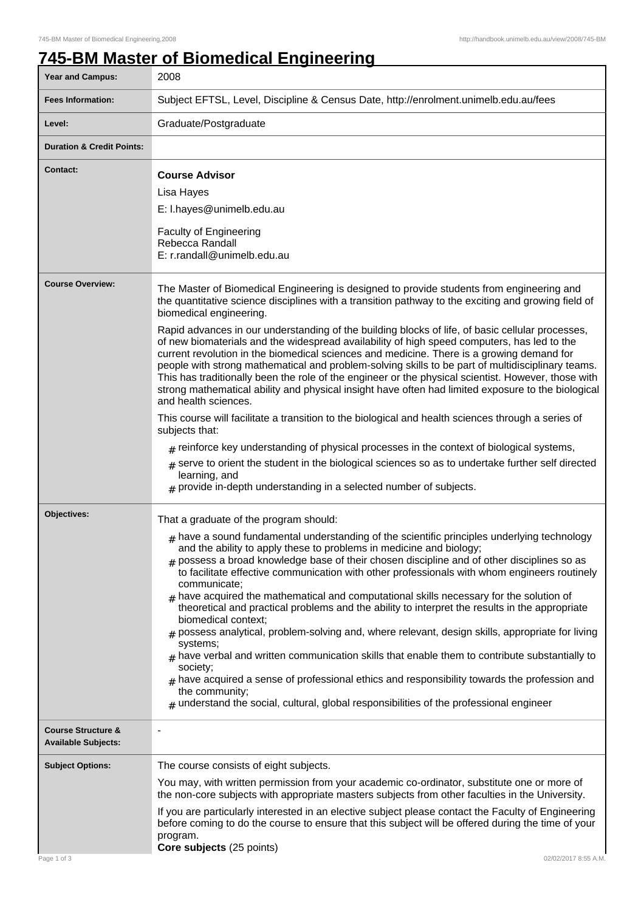## **745-BM Master of Biomedical Engineering**

| <b>Year and Campus:</b>                                     | 2008                                                                                                                                                                                                                                                                                                                                                                                                                                                                                                                                                                                                                                                                                                                                                                                                                                                                                                                                                                                                                                                                                                                                                                                                                                                                                          |
|-------------------------------------------------------------|-----------------------------------------------------------------------------------------------------------------------------------------------------------------------------------------------------------------------------------------------------------------------------------------------------------------------------------------------------------------------------------------------------------------------------------------------------------------------------------------------------------------------------------------------------------------------------------------------------------------------------------------------------------------------------------------------------------------------------------------------------------------------------------------------------------------------------------------------------------------------------------------------------------------------------------------------------------------------------------------------------------------------------------------------------------------------------------------------------------------------------------------------------------------------------------------------------------------------------------------------------------------------------------------------|
| <b>Fees Information:</b>                                    | Subject EFTSL, Level, Discipline & Census Date, http://enrolment.unimelb.edu.au/fees                                                                                                                                                                                                                                                                                                                                                                                                                                                                                                                                                                                                                                                                                                                                                                                                                                                                                                                                                                                                                                                                                                                                                                                                          |
| Level:                                                      | Graduate/Postgraduate                                                                                                                                                                                                                                                                                                                                                                                                                                                                                                                                                                                                                                                                                                                                                                                                                                                                                                                                                                                                                                                                                                                                                                                                                                                                         |
| <b>Duration &amp; Credit Points:</b>                        |                                                                                                                                                                                                                                                                                                                                                                                                                                                                                                                                                                                                                                                                                                                                                                                                                                                                                                                                                                                                                                                                                                                                                                                                                                                                                               |
| <b>Contact:</b>                                             | <b>Course Advisor</b><br>Lisa Hayes<br>E: I.hayes@unimelb.edu.au<br><b>Faculty of Engineering</b><br>Rebecca Randall<br>E: r.randall@unimelb.edu.au                                                                                                                                                                                                                                                                                                                                                                                                                                                                                                                                                                                                                                                                                                                                                                                                                                                                                                                                                                                                                                                                                                                                           |
| <b>Course Overview:</b>                                     | The Master of Biomedical Engineering is designed to provide students from engineering and<br>the quantitative science disciplines with a transition pathway to the exciting and growing field of<br>biomedical engineering.<br>Rapid advances in our understanding of the building blocks of life, of basic cellular processes,<br>of new biomaterials and the widespread availability of high speed computers, has led to the<br>current revolution in the biomedical sciences and medicine. There is a growing demand for<br>people with strong mathematical and problem-solving skills to be part of multidisciplinary teams.<br>This has traditionally been the role of the engineer or the physical scientist. However, those with<br>strong mathematical ability and physical insight have often had limited exposure to the biological<br>and health sciences.<br>This course will facilitate a transition to the biological and health sciences through a series of<br>subjects that:<br>$#$ reinforce key understanding of physical processes in the context of biological systems,<br>serve to orient the student in the biological sciences so as to undertake further self directed<br>#<br>learning, and<br>$#$ provide in-depth understanding in a selected number of subjects. |
| Objectives:                                                 | That a graduate of the program should:<br>$#$ have a sound fundamental understanding of the scientific principles underlying technology<br>and the ability to apply these to problems in medicine and biology;<br>$#$ possess a broad knowledge base of their chosen discipline and of other disciplines so as<br>to facilitate effective communication with other professionals with whom engineers routinely<br>communicate;<br>$_{\#}$ have acquired the mathematical and computational skills necessary for the solution of<br>theoretical and practical problems and the ability to interpret the results in the appropriate<br>biomedical context;<br>possess analytical, problem-solving and, where relevant, design skills, appropriate for living<br>systems;<br>$_{\rm H}$ have verbal and written communication skills that enable them to contribute substantially to<br>society;<br>$#$ have acquired a sense of professional ethics and responsibility towards the profession and<br>the community;<br>$_{\text{\#}}$ understand the social, cultural, global responsibilities of the professional engineer                                                                                                                                                                     |
| <b>Course Structure &amp;</b><br><b>Available Subjects:</b> |                                                                                                                                                                                                                                                                                                                                                                                                                                                                                                                                                                                                                                                                                                                                                                                                                                                                                                                                                                                                                                                                                                                                                                                                                                                                                               |
| <b>Subject Options:</b><br>Page 1 of 3                      | The course consists of eight subjects.<br>You may, with written permission from your academic co-ordinator, substitute one or more of<br>the non-core subjects with appropriate masters subjects from other faculties in the University.<br>If you are particularly interested in an elective subject please contact the Faculty of Engineering<br>before coming to do the course to ensure that this subject will be offered during the time of your<br>program.<br>Core subjects (25 points)<br>02/02/2017 8:55 A.M.                                                                                                                                                                                                                                                                                                                                                                                                                                                                                                                                                                                                                                                                                                                                                                        |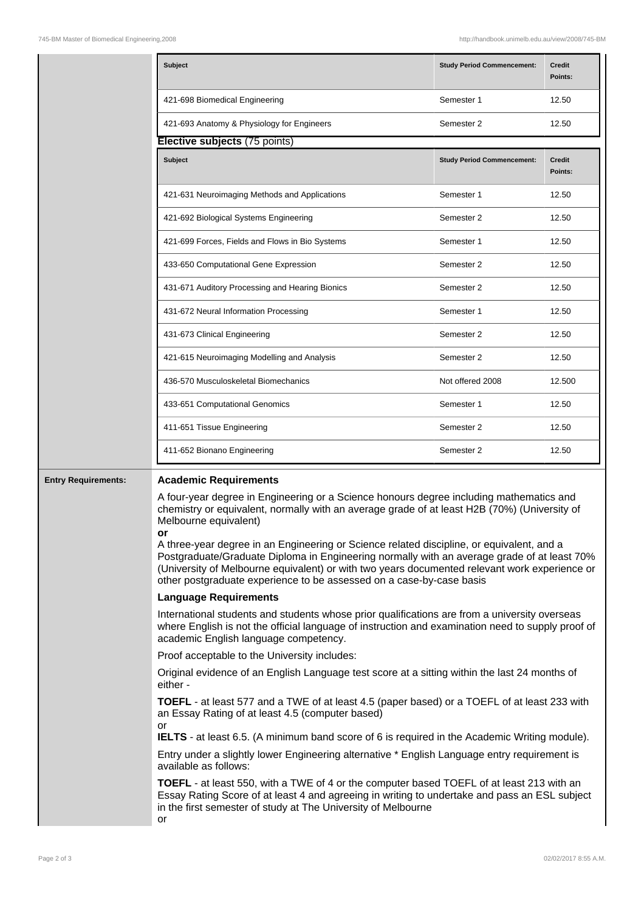|                            | <b>Subject</b>                                                                                                                                                                                                                                                                                                                                                                                                                                                                                                                                                                        | <b>Study Period Commencement:</b> | <b>Credit</b><br>Points: |  |
|----------------------------|---------------------------------------------------------------------------------------------------------------------------------------------------------------------------------------------------------------------------------------------------------------------------------------------------------------------------------------------------------------------------------------------------------------------------------------------------------------------------------------------------------------------------------------------------------------------------------------|-----------------------------------|--------------------------|--|
|                            | 421-698 Biomedical Engineering                                                                                                                                                                                                                                                                                                                                                                                                                                                                                                                                                        | Semester 1                        | 12.50                    |  |
|                            | 421-693 Anatomy & Physiology for Engineers                                                                                                                                                                                                                                                                                                                                                                                                                                                                                                                                            | Semester 2                        | 12.50                    |  |
|                            | Elective subjects (75 points)                                                                                                                                                                                                                                                                                                                                                                                                                                                                                                                                                         |                                   |                          |  |
|                            | Subject                                                                                                                                                                                                                                                                                                                                                                                                                                                                                                                                                                               | <b>Study Period Commencement:</b> | <b>Credit</b><br>Points: |  |
|                            | 421-631 Neuroimaging Methods and Applications                                                                                                                                                                                                                                                                                                                                                                                                                                                                                                                                         | Semester 1                        | 12.50                    |  |
|                            | 421-692 Biological Systems Engineering                                                                                                                                                                                                                                                                                                                                                                                                                                                                                                                                                | Semester 2                        | 12.50                    |  |
|                            | 421-699 Forces, Fields and Flows in Bio Systems                                                                                                                                                                                                                                                                                                                                                                                                                                                                                                                                       | Semester 1                        | 12.50                    |  |
|                            | 433-650 Computational Gene Expression                                                                                                                                                                                                                                                                                                                                                                                                                                                                                                                                                 | Semester 2                        | 12.50                    |  |
|                            | 431-671 Auditory Processing and Hearing Bionics                                                                                                                                                                                                                                                                                                                                                                                                                                                                                                                                       | Semester 2                        | 12.50                    |  |
|                            | 431-672 Neural Information Processing                                                                                                                                                                                                                                                                                                                                                                                                                                                                                                                                                 | Semester 1                        | 12.50                    |  |
|                            | 431-673 Clinical Engineering                                                                                                                                                                                                                                                                                                                                                                                                                                                                                                                                                          | Semester 2                        | 12.50                    |  |
|                            | 421-615 Neuroimaging Modelling and Analysis                                                                                                                                                                                                                                                                                                                                                                                                                                                                                                                                           | Semester 2                        | 12.50                    |  |
|                            | 436-570 Musculoskeletal Biomechanics                                                                                                                                                                                                                                                                                                                                                                                                                                                                                                                                                  | Not offered 2008                  | 12.500                   |  |
|                            | 433-651 Computational Genomics                                                                                                                                                                                                                                                                                                                                                                                                                                                                                                                                                        | Semester 1                        | 12.50                    |  |
|                            | 411-651 Tissue Engineering                                                                                                                                                                                                                                                                                                                                                                                                                                                                                                                                                            | Semester 2                        | 12.50                    |  |
|                            | 411-652 Bionano Engineering                                                                                                                                                                                                                                                                                                                                                                                                                                                                                                                                                           | Semester 2                        | 12.50                    |  |
| <b>Entry Requirements:</b> | <b>Academic Requirements</b>                                                                                                                                                                                                                                                                                                                                                                                                                                                                                                                                                          |                                   |                          |  |
|                            | A four-year degree in Engineering or a Science honours degree including mathematics and<br>chemistry or equivalent, normally with an average grade of at least H2B (70%) (University of<br>Melbourne equivalent)<br>A three-year degree in an Engineering or Science related discipline, or equivalent, and a<br>Postgraduate/Graduate Diploma in Engineering normally with an average grade of at least 70%<br>(University of Melbourne equivalent) or with two years documented relevant work experience or<br>other postgraduate experience to be assessed on a case-by-case basis |                                   |                          |  |
|                            | <b>Language Requirements</b>                                                                                                                                                                                                                                                                                                                                                                                                                                                                                                                                                          |                                   |                          |  |
|                            | International students and students whose prior qualifications are from a university overseas<br>where English is not the official language of instruction and examination need to supply proof of<br>academic English language competency.                                                                                                                                                                                                                                                                                                                                           |                                   |                          |  |
|                            | Proof acceptable to the University includes:                                                                                                                                                                                                                                                                                                                                                                                                                                                                                                                                          |                                   |                          |  |
|                            | Original evidence of an English Language test score at a sitting within the last 24 months of<br>either -                                                                                                                                                                                                                                                                                                                                                                                                                                                                             |                                   |                          |  |
|                            | <b>TOEFL</b> - at least 577 and a TWE of at least 4.5 (paper based) or a TOEFL of at least 233 with<br>an Essay Rating of at least 4.5 (computer based)<br>or<br><b>IELTS</b> - at least 6.5. (A minimum band score of 6 is required in the Academic Writing module).                                                                                                                                                                                                                                                                                                                 |                                   |                          |  |
|                            | Entry under a slightly lower Engineering alternative * English Language entry requirement is<br>available as follows:                                                                                                                                                                                                                                                                                                                                                                                                                                                                 |                                   |                          |  |
|                            | TOEFL - at least 550, with a TWE of 4 or the computer based TOEFL of at least 213 with an<br>Essay Rating Score of at least 4 and agreeing in writing to undertake and pass an ESL subject<br>in the first semester of study at The University of Melbourne                                                                                                                                                                                                                                                                                                                           |                                   |                          |  |